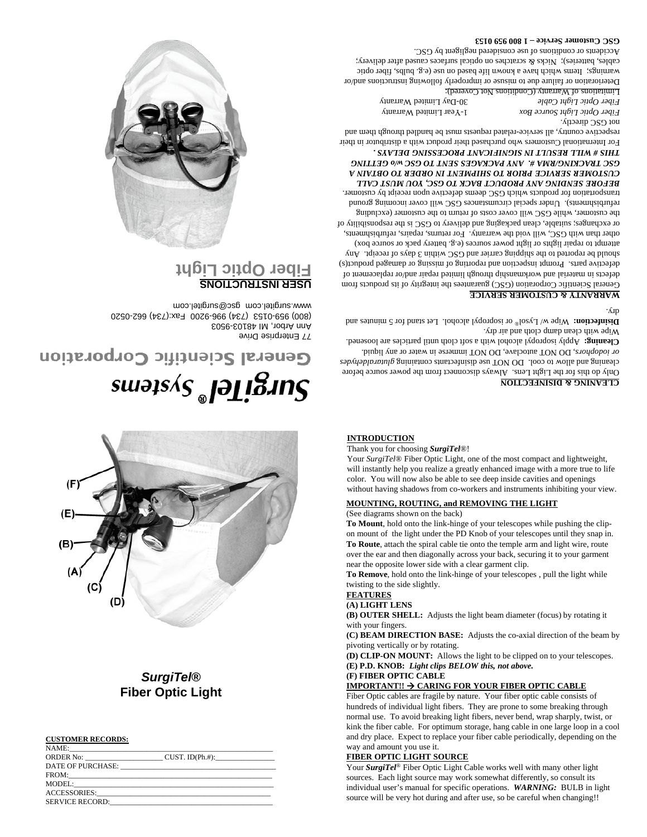|                        | CUST. ID(Ph.#):                                                                                                      |  |
|------------------------|----------------------------------------------------------------------------------------------------------------------|--|
|                        |                                                                                                                      |  |
| FROM:                  |                                                                                                                      |  |
|                        |                                                                                                                      |  |
|                        |                                                                                                                      |  |
| <b>SERVICE RECORD:</b> | <u> 1989 - Jan James James James James James James James James James James James James James James James James J</u> |  |

### **CUSTOMER RECORDS:**

*SurgiTel***® Fiber Optic Light**

# 77 Enterprise Drive Ann Arbor, MI 48103-9503 (800) 959-0153 (734) 996-9200 Fax:(734) 662-0520 www.surgitel.com gsc@surgitel.com **USER INSTRUCTIONS Fiber Optic Light** General Scientific Corporation (GSC) guarantees the integrity of its products from reporting of missing or damaged product(s) defective parts. Prompt inspection and

General Scientific Corporation



# $su$ อ $ps\overline{AS}$ ူခြုုဒ်ိဳးIn $\overline{S}$

**INTRODUCTION**

Thank you for choosing *SurgiTel*®!

(See diagrams shown on the back)

twisting to the side slightly.

pivoting vertically or by rotating.

**(F) FIBER OPTIC CABLE**

way and amount you use it. **FIBER OPTIC LIGHT SOURCE**

**FEATURES (A) LIGHT LENS**

with your fingers.

## **CLEANING & DISINFECTION**

Only do this for the Light Lens. Always disconnect from the power source before or iodophors, DO NOT autoclave, DO NOT immerse in water or any liquid.

Your *SurgiTel*® Fiber Optic Light, one of the most compact and lightweight, will instantly help you realize a greatly enhanced image with a more true to life color. You will now also be able to see deep inside cavities and openings without having shadows from co-workers and instruments inhibiting your view.

**To Mount**, hold onto the link-hinge of your telescopes while pushing the clipon mount of the light under the PD Knob of your telescopes until they snap in. **To Route**, attach the spiral cable tie onto the temple arm and light wire, route over the ear and then diagonally across your back, securing it to your garment

**To Remove**, hold onto the link-hinge of your telescopes , pull the light while

**(B) OUTER SHELL:** Adjusts the light beam diameter (focus) by rotating it

**(C) BEAM DIRECTION BASE:** Adjusts the co-axial direction of the beam by

**(D) CLIP-ON MOUNT:** Allows the light to be clipped on to your telescopes.

**IMPORTANT!! CARING FOR YOUR FIBER OPTIC CABLE** Fiber Optic cables are fragile by nature. Your fiber optic cable consists of hundreds of individual light fibers. They are prone to some breaking through normal use. To avoid breaking light fibers, never bend, wrap sharply, twist, or kink the fiber cable. For optimum storage, hang cable in one large loop in a cool and dry place. Expect to replace your fiber cable periodically, depending on the

Your *SurgiTel®* Fiber Optic Light Cable works well with many other light sources. Each light source may work somewhat differently, so consult its individual user's manual for specific operations. *WARNING:* BULB in light source will be very hot during and after use, so be careful when changing!!

**MOUNTING, ROUTING, and REMOVING THE LIGHT**

near the opposite lower side with a clear garment clip.

**(E) P.D. KNOB:** *Light clips BELOW this, not above.*

cleaning and allow to cool. DO NOT use disinfectants orining gluinning and containing the containts containing c cloth until particles are loosened. Apply isopropyl alcohol with a soft **Cleaning:**

Wipe with clean damp cloth and air dry.

**Disinfection:** Wipe  $W \cup \text{y}$  loss or isopropyl alcohol. Let stand for 5 minutes and

to immediate replacement of defects or replacement of the phasement of

and Gestion of reported to the shipping carrier and GSC within 3 days of receipt. Any attempt to repair lights or light power sources (e.g. battery pack or source box) other than with GSC, will void the warrang. For returns, repairs, refurbishments, or exchanges; suitable, clean packaging and delivery to GSC is the responsibility of the customer, while GSC will cover costs of return to the customer (excluding refurbishments). Under special circumstances GSC will cover incoming ground transportation for products which GSC deems defective upon receipt by customer. *BEFORE SENDING ANY PRODUCT BACK TO GSC, YOU MUST CALL MENT IN ORDER TO OBTAIN A CUSTOMER SERVICE PRIOR TO SHIP ES SENT TO GSC w/o GETTING GSC TRACKING/RMA #. ANY PACKAG THIS # WILL RESULT IN SIGNIFICANT PROCESSING DELAYS .*  For International Customers who purchased their product with a distributor in their respective country, all service-related requests must be handled through them and

 $\cdot$   $\zeta$  in

not GSC directly.

1-Year Limited Warranty *Fiber Optic Light Source Box* 30-Day Limited Warranty *Fiber Optic Light Cable*

Deterioration or failure due to misuse or improperly following instructions and/or warnings; Items which have a known life based on use (e.g. bulbs, fiber optic caples, batteries); Nicks  $\&$  scratches on optical surfaces caused after delivery;

Limitations of Warranty (Conditions Not Covered):

**GSC Customer Service – 1 800 959 0153**

Accidents or conditions of use considered negligent by GSC.

# **WARRANTY & CUSTOMER SERVICE**